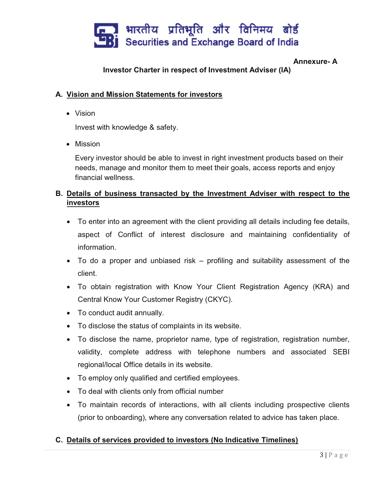

#### Annexure- A

# Investor Charter in respect of Investment Adviser (IA)

#### A. Vision and Mission Statements for investors

· Vision

Invest with knowledge & safety.

· Mission

Every investor should be able to invest in right investment products based on their needs, manage and monitor them to meet their goals, access reports and enjoy financial wellness.

# B. Details of business transacted by the Investment Adviser with respect to the investors

- · To enter into an agreement with the client providing all details including fee details, aspect of Conflict of interest disclosure and maintaining confidentiality of information.
- · To do a proper and unbiased risk profiling and suitability assessment of the client.
- · To obtain registration with Know Your Client Registration Agency (KRA) and Central Know Your Customer Registry (CKYC).
- · To conduct audit annually.
- · To disclose the status of complaints in its website.
- · To disclose the name, proprietor name, type of registration, registration number, validity, complete address with telephone numbers and associated SEBI regional/local Office details in its website.
- · To employ only qualified and certified employees.
- · To deal with clients only from official number
- · To maintain records of interactions, with all clients including prospective clients (prior to onboarding), where any conversation related to advice has taken place.

#### C. Details of services provided to investors (No Indicative Timelines)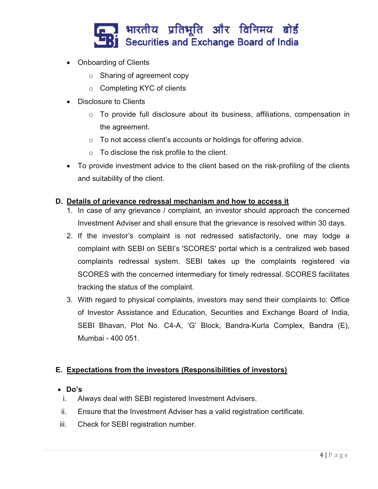

- · Onboarding of Clients
	- o Sharing of agreement copy
	- o Completing KYC of clients
- · Disclosure to Clients
	- $\circ$  To provide full disclosure about its business, affiliations, compensation in the agreement.
	- o To not access client's accounts or holdings for offering advice.
	- o To disclose the risk profile to the client.
- To provide investment advice to the client based on the risk-profiling of the clients and suitability of the client.

#### D. Details of grievance redressal mechanism and how to access it

- 1. In case of any grievance / complaint, an investor should approach the concerned Investment Adviser and shall ensure that the grievance is resolved within 30 days.
- 2. If the investor's complaint is not redressed satisfactorily, one may lodge a complaint with SEBI on SEBI's 'SCORES' portal which is a centralized web based complaints redressal system. SEBI takes up the complaints registered via SCORES with the concerned intermediary for timely redressal. SCORES facilitates tracking the status of the complaint.
- 3. With regard to physical complaints, investors may send their complaints to: Office of Investor Assistance and Education, Securities and Exchange Board of India, SEBI Bhavan, Plot No. C4-A, 'G' Block, Bandra-Kurla Complex, Bandra (E), Mumbai - 400 051.

# E. Expectations from the investors (Responsibilities of investors)

#### · Do's

- i. Always deal with SEBI registered Investment Advisers.
- ii. Ensure that the Investment Adviser has a valid registration certificate.
- iii. Check for SEBI registration number.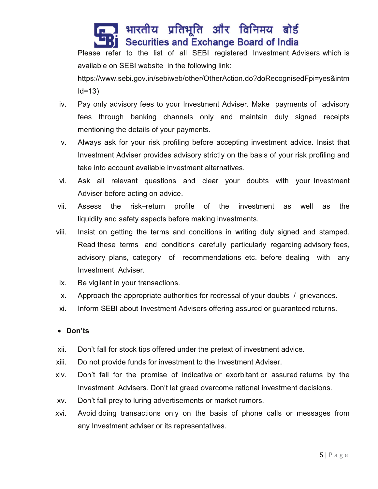# भारतीय प्रतिभूति और विनिमय बोर्ड Securities and Exchange Board of India

Please refer to the list of all SEBI registered Investment Advisers which is available on SEBI website in the following link:

https://www.sebi.gov.in/sebiweb/other/OtherAction.do?doRecognisedFpi=yes&intm  $Id = 13$ 

- iv. Pay only advisory fees to your Investment Adviser. Make payments of advisory fees through banking channels only and maintain duly signed receipts mentioning the details of your payments.
- v. Always ask for your risk profiling before accepting investment advice. Insist that Investment Adviser provides advisory strictly on the basis of your risk profiling and take into account available investment alternatives.
- vi. Ask all relevant questions and clear your doubts with your Investment Adviser before acting on advice.
- vii. Assess the risk–return profile of the investment as well as the liquidity and safety aspects before making investments.
- viii. Insist on getting the terms and conditions in writing duly signed and stamped. Read these terms and conditions carefully particularly regarding advisory fees, advisory plans, category of recommendations etc. before dealing with any Investment Adviser.
- ix. Be vigilant in your transactions.
- x. Approach the appropriate authorities for redressal of your doubts / grievances.
- xi. Inform SEBI about Investment Advisers offering assured or guaranteed returns.

# · Don'ts

- xii. Don't fall for stock tips offered under the pretext of investment advice.
- xiii. Do not provide funds for investment to the Investment Adviser.
- xiv. Don't fall for the promise of indicative or exorbitant or assured returns by the Investment Advisers. Don't let greed overcome rational investment decisions.
- xv. Don't fall prey to luring advertisements or market rumors.
- xvi. Avoid doing transactions only on the basis of phone calls or messages from any Investment adviser or its representatives.